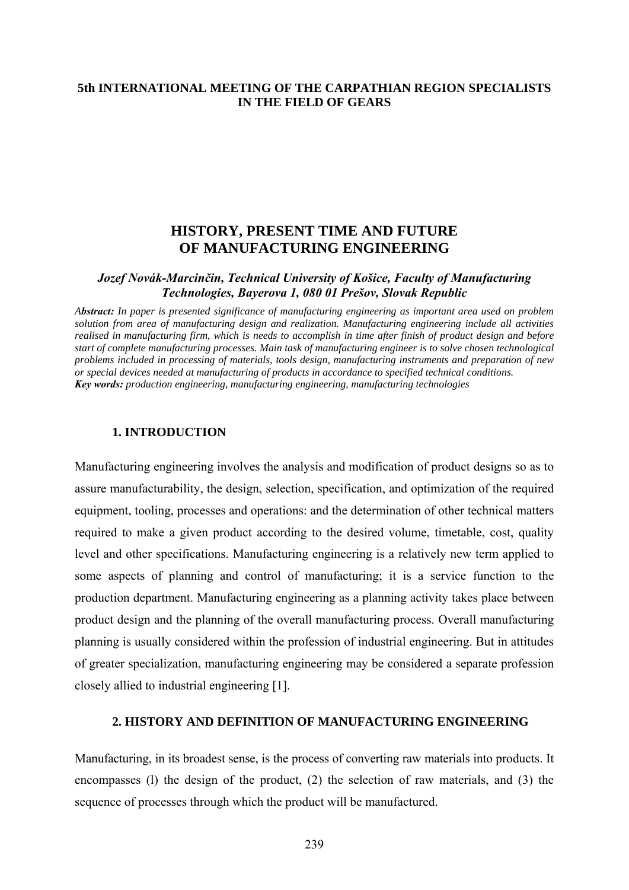## **5th INTERNATIONAL MEETING OF THE CARPATHIAN REGION SPECIALISTS IN THE FIELD OF GEARS**

# **HISTORY, PRESENT TIME AND FUTURE OF MANUFACTURING ENGINEERING**

## *Jozef Novák-Marcinčin, Technical University of Košice, Faculty of Manufacturing Technologies, Bayerova 1, 080 01 Prešov, Slovak Republic*

*Abstract: In paper is presented significance of manufacturing engineering as important area used on problem solution from area of manufacturing design and realization. Manufacturing engineering include all activities realised in manufacturing firm, which is needs to accomplish in time after finish of product design and before start of complete manufacturing processes. Main task of manufacturing engineer is to solve chosen technological problems included in processing of materials, tools design, manufacturing instruments and preparation of new or special devices needed at manufacturing of products in accordance to specified technical conditions. Key words: production engineering, manufacturing engineering, manufacturing technologies*

#### **1. INTRODUCTION**

Manufacturing engineering involves the analysis and modification of product designs so as to assure manufacturability, the design, selection, specification, and optimization of the required equipment, tooling, processes and operations: and the determination of other technical matters required to make a given product according to the desired volume, timetable, cost, quality level and other specifications. Manufacturing engineering is a relatively new term applied to some aspects of planning and control of manufacturing; it is a service function to the production department. Manufacturing engineering as a planning activity takes place between product design and the planning of the overall manufacturing process. Overall manufacturing planning is usually considered within the profession of industrial engineering. But in attitudes of greater specialization, manufacturing engineering may be considered a separate profession closely allied to industrial engineering [1].

#### **2. HISTORY AND DEFINITION OF MANUFACTURING ENGINEERING**

Manufacturing, in its broadest sense, is the process of converting raw materials into products. It encompasses (l) the design of the product, (2) the selection of raw materials, and (3) the sequence of processes through which the product will be manufactured.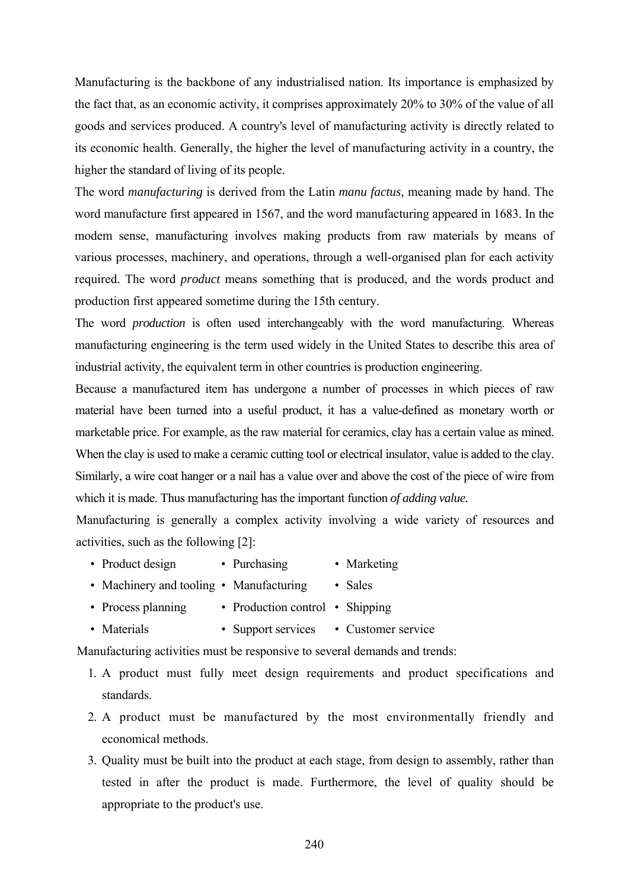Manufacturing is the backbone of any industrialised nation. Its importance is emphasized by the fact that, as an economic activity, it comprises approximately 20% to 30% of the value of all goods and services produced. A country's level of manufacturing activity is directly related to its economic health. Generally, the higher the level of manufacturing activity in a country, the higher the standard of living of its people.

The word *manufacturing* is derived from the Latin *manu factus,* meaning made by hand. The word manufacture first appeared in 1567, and the word manufacturing appeared in 1683. In the modem sense, manufacturing involves making products from raw materials by means of various processes, machinery, and operations, through a well-organised plan for each activity required. The word *product* means something that is produced, and the words product and production first appeared sometime during the 15th century.

The word *production* is often used interchangeably with the word manufacturing. Whereas manufacturing engineering is the term used widely in the United States to describe this area of industrial activity, the equivalent term in other countries is production engineering.

Because a manufactured item has undergone a number of processes in which pieces of raw material have been turned into a useful product, it has a value-defined as monetary worth or marketable price. For example, as the raw material for ceramics, clay has a certain value as mined. When the clay is used to make a ceramic cutting tool or electrical insulator, value is added to the clay. Similarly, a wire coat hanger or a nail has a value over and above the cost of the piece of wire from which it is made. Thus manufacturing has the important function *of adding value.*

Manufacturing is generally a complex activity involving a wide variety of resources and activities, such as the following [2]:

- Product design Purchasing Marketing
- Machinery and tooling Manufacturing Sales
- Process planning Production control Shipping
- Materials Support services Customer service

Manufacturing activities must be responsive to several demands and trends:

- 1. A product must fully meet design requirements and product specifications and standards.
- 2. A product must be manufactured by the most environmentally friendly and economical methods.
- 3. Quality must be built into the product at each stage, from design to assembly, rather than tested in after the product is made. Furthermore, the level of quality should be appropriate to the product's use.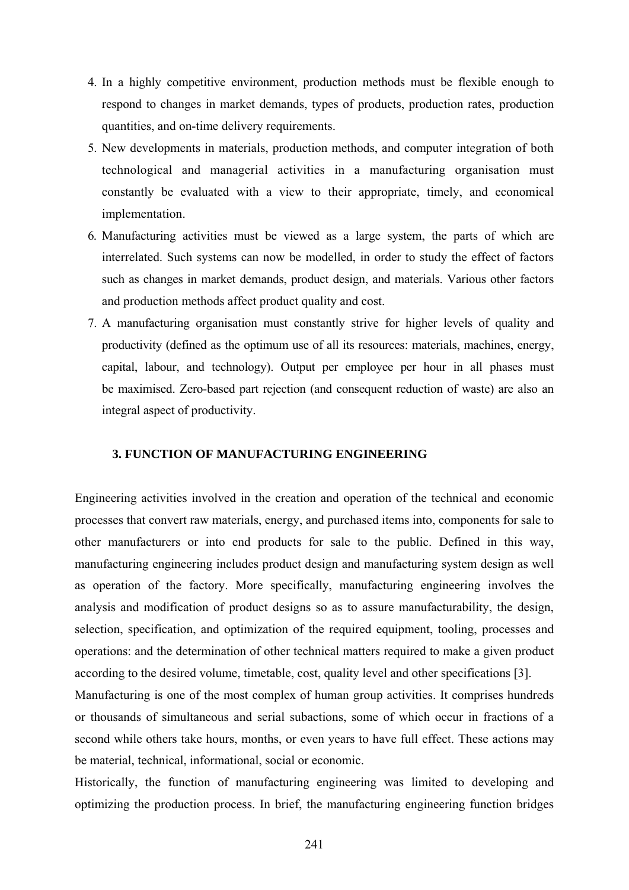- 4. In a highly competitive environment, production methods must be flexible enough to respond to changes in market demands, types of products, production rates, production quantities, and on-time delivery requirements.
- 5. New developments in materials, production methods, and computer integration of both technological and managerial activities in a manufacturing organisation must constantly be evaluated with a view to their appropriate, timely, and economical implementation.
- 6. Manufacturing activities must be viewed as a large system, the parts of which are interrelated. Such systems can now be modelled, in order to study the effect of factors such as changes in market demands, product design, and materials. Various other factors and production methods affect product quality and cost.
- 7. A manufacturing organisation must constantly strive for higher levels of quality and productivity (defined as the optimum use of all its resources: materials, machines, energy, capital, labour, and technology). Output per employee per hour in all phases must be maximised. Zero-based part rejection (and consequent reduction of waste) are also an integral aspect of productivity.

### **3. FUNCTION OF MANUFACTURING ENGINEERING**

Engineering activities involved in the creation and operation of the technical and economic processes that convert raw materials, energy, and purchased items into, components for sale to other manufacturers or into end products for sale to the public. Defined in this way, manufacturing engineering includes product design and manufacturing system design as well as operation of the factory. More specifically, manufacturing engineering involves the analysis and modification of product designs so as to assure manufacturability, the design, selection, specification, and optimization of the required equipment, tooling, processes and operations: and the determination of other technical matters required to make a given product according to the desired volume, timetable, cost, quality level and other specifications [3]. Manufacturing is one of the most complex of human group activities. It comprises hundreds or thousands of simultaneous and serial subactions, some of which occur in fractions of a second while others take hours, months, or even years to have full effect. These actions may be material, technical, informational, social or economic.

Historically, the function of manufacturing engineering was limited to developing and optimizing the production process. In brief, the manufacturing engineering function bridges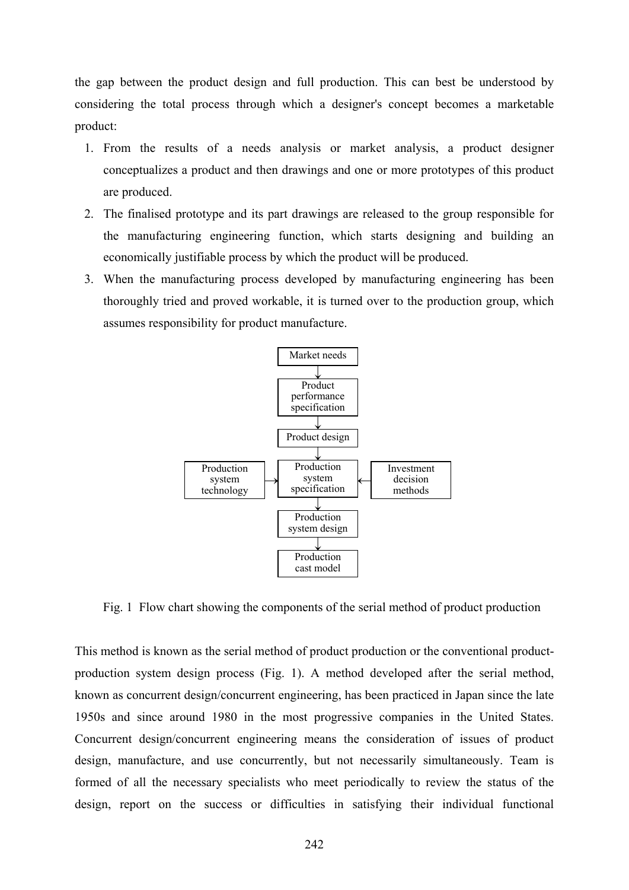the gap between the product design and full production. This can best be understood by considering the total process through which a designer's concept becomes a marketable product:

- 1. From the results of a needs analysis or market analysis, a product designer conceptualizes a product and then drawings and one or more prototypes of this product are produced.
- 2. The finalised prototype and its part drawings are released to the group responsible for the manufacturing engineering function, which starts designing and building an economically justifiable process by which the product will be produced.
- 3. When the manufacturing process developed by manufacturing engineering has been thoroughly tried and proved workable, it is turned over to the production group, which assumes responsibility for product manufacture.



Fig. 1 Flow chart showing the components of the serial method of product production

This method is known as the serial method of product production or the conventional productproduction system design process (Fig. 1). A method developed after the serial method, known as concurrent design/concurrent engineering, has been practiced in Japan since the late 1950s and since around 1980 in the most progressive companies in the United States. Concurrent design/concurrent engineering means the consideration of issues of product design, manufacture, and use concurrently, but not necessarily simultaneously. Team is formed of all the necessary specialists who meet periodically to review the status of the design, report on the success or difficulties in satisfying their individual functional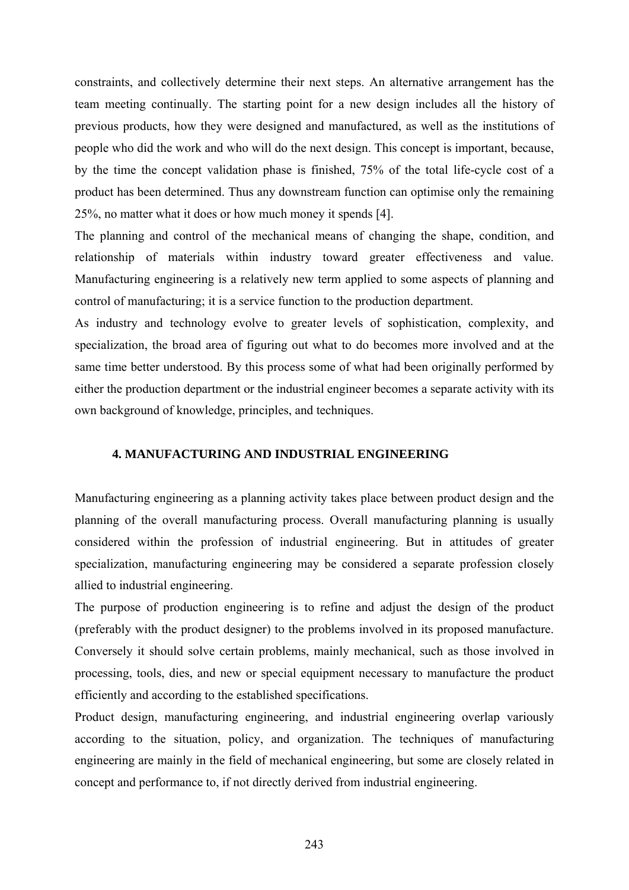constraints, and collectively determine their next steps. An alternative arrangement has the team meeting continually. The starting point for a new design includes all the history of previous products, how they were designed and manufactured, as well as the institutions of people who did the work and who will do the next design. This concept is important, because, by the time the concept validation phase is finished, 75% of the total life-cycle cost of a product has been determined. Thus any downstream function can optimise only the remaining 25%, no matter what it does or how much money it spends [4].

The planning and control of the mechanical means of changing the shape, condition, and relationship of materials within industry toward greater effectiveness and value. Manufacturing engineering is a relatively new term applied to some aspects of planning and control of manufacturing; it is a service function to the production department.

As industry and technology evolve to greater levels of sophistication, complexity, and specialization, the broad area of figuring out what to do becomes more involved and at the same time better understood. By this process some of what had been originally performed by either the production department or the industrial engineer becomes a separate activity with its own background of knowledge, principles, and techniques.

## **4. MANUFACTURING AND INDUSTRIAL ENGINEERING**

Manufacturing engineering as a planning activity takes place between product design and the planning of the overall manufacturing process. Overall manufacturing planning is usually considered within the profession of industrial engineering. But in attitudes of greater specialization, manufacturing engineering may be considered a separate profession closely allied to industrial engineering.

The purpose of production engineering is to refine and adjust the design of the product (preferably with the product designer) to the problems involved in its proposed manufacture. Conversely it should solve certain problems, mainly mechanical, such as those involved in processing, tools, dies, and new or special equipment necessary to manufacture the product efficiently and according to the established specifications.

Product design, manufacturing engineering, and industrial engineering overlap variously according to the situation, policy, and organization. The techniques of manufacturing engineering are mainly in the field of mechanical engineering, but some are closely related in concept and performance to, if not directly derived from industrial engineering.